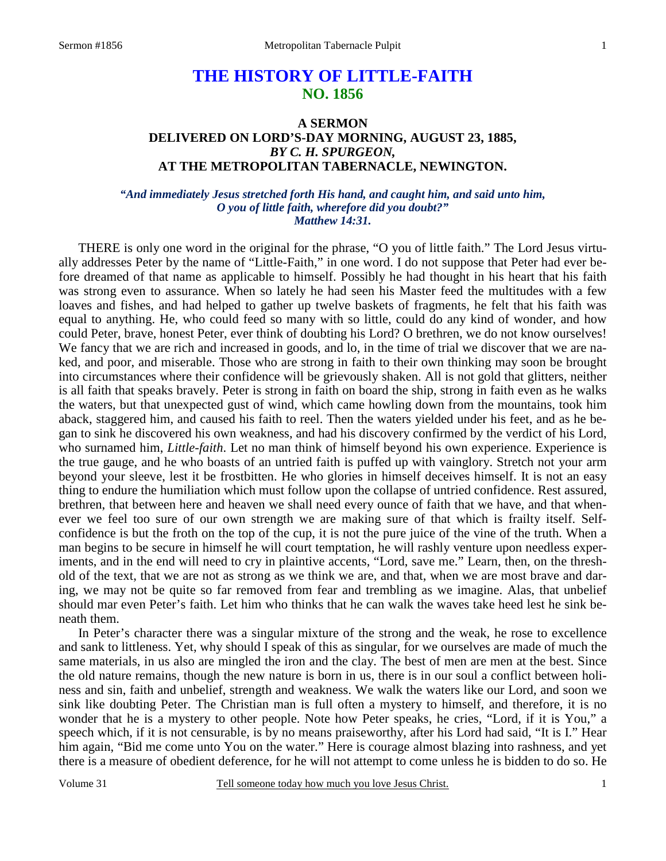# **THE HISTORY OF LITTLE-FAITH NO. 1856**

### **A SERMON DELIVERED ON LORD'S-DAY MORNING, AUGUST 23, 1885,**  *BY C. H. SPURGEON,*  **AT THE METROPOLITAN TABERNACLE, NEWINGTON.**

#### *"And immediately Jesus stretched forth His hand, and caught him, and said unto him, O you of little faith, wherefore did you doubt?" Matthew 14:31.*

THERE is only one word in the original for the phrase, "O you of little faith." The Lord Jesus virtually addresses Peter by the name of "Little-Faith," in one word. I do not suppose that Peter had ever before dreamed of that name as applicable to himself. Possibly he had thought in his heart that his faith was strong even to assurance. When so lately he had seen his Master feed the multitudes with a few loaves and fishes, and had helped to gather up twelve baskets of fragments, he felt that his faith was equal to anything. He, who could feed so many with so little, could do any kind of wonder, and how could Peter, brave, honest Peter, ever think of doubting his Lord? O brethren, we do not know ourselves! We fancy that we are rich and increased in goods, and lo, in the time of trial we discover that we are naked, and poor, and miserable. Those who are strong in faith to their own thinking may soon be brought into circumstances where their confidence will be grievously shaken. All is not gold that glitters, neither is all faith that speaks bravely. Peter is strong in faith on board the ship, strong in faith even as he walks the waters, but that unexpected gust of wind, which came howling down from the mountains, took him aback, staggered him, and caused his faith to reel. Then the waters yielded under his feet, and as he began to sink he discovered his own weakness, and had his discovery confirmed by the verdict of his Lord, who surnamed him, *Little-faith*. Let no man think of himself beyond his own experience. Experience is the true gauge, and he who boasts of an untried faith is puffed up with vainglory. Stretch not your arm beyond your sleeve, lest it be frostbitten. He who glories in himself deceives himself. It is not an easy thing to endure the humiliation which must follow upon the collapse of untried confidence. Rest assured, brethren, that between here and heaven we shall need every ounce of faith that we have, and that whenever we feel too sure of our own strength we are making sure of that which is frailty itself. Selfconfidence is but the froth on the top of the cup, it is not the pure juice of the vine of the truth. When a man begins to be secure in himself he will court temptation, he will rashly venture upon needless experiments, and in the end will need to cry in plaintive accents, "Lord, save me." Learn, then, on the threshold of the text, that we are not as strong as we think we are, and that, when we are most brave and daring, we may not be quite so far removed from fear and trembling as we imagine. Alas, that unbelief should mar even Peter's faith. Let him who thinks that he can walk the waves take heed lest he sink beneath them.

 In Peter's character there was a singular mixture of the strong and the weak, he rose to excellence and sank to littleness. Yet, why should I speak of this as singular, for we ourselves are made of much the same materials, in us also are mingled the iron and the clay. The best of men are men at the best. Since the old nature remains, though the new nature is born in us, there is in our soul a conflict between holiness and sin, faith and unbelief, strength and weakness. We walk the waters like our Lord, and soon we sink like doubting Peter. The Christian man is full often a mystery to himself, and therefore, it is no wonder that he is a mystery to other people. Note how Peter speaks, he cries, "Lord, if it is You," a speech which, if it is not censurable, is by no means praiseworthy, after his Lord had said, "It is I." Hear him again, "Bid me come unto You on the water." Here is courage almost blazing into rashness, and yet there is a measure of obedient deference, for he will not attempt to come unless he is bidden to do so. He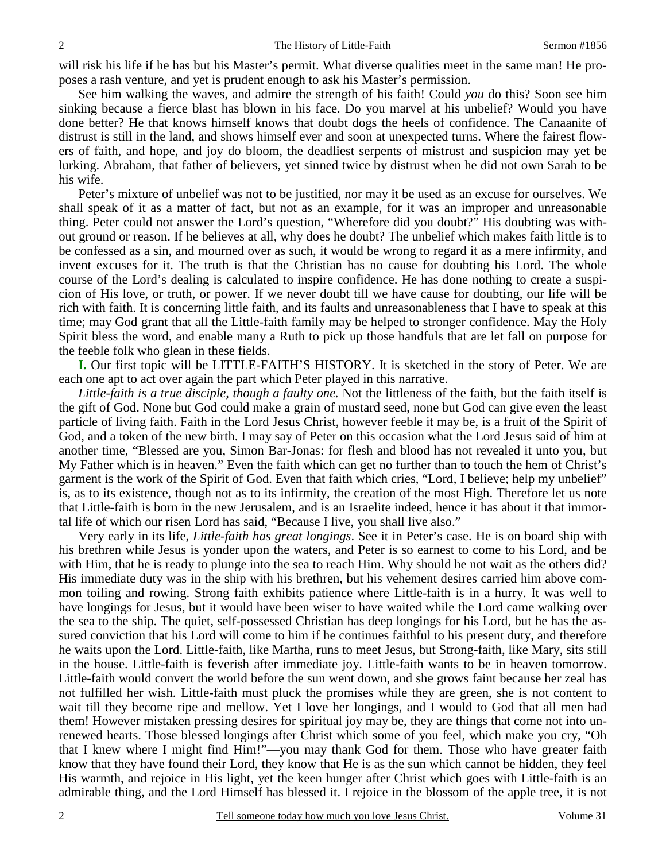will risk his life if he has but his Master's permit. What diverse qualities meet in the same man! He proposes a rash venture, and yet is prudent enough to ask his Master's permission.

 See him walking the waves, and admire the strength of his faith! Could *you* do this? Soon see him sinking because a fierce blast has blown in his face. Do you marvel at his unbelief? Would you have done better? He that knows himself knows that doubt dogs the heels of confidence. The Canaanite of distrust is still in the land, and shows himself ever and soon at unexpected turns. Where the fairest flowers of faith, and hope, and joy do bloom, the deadliest serpents of mistrust and suspicion may yet be lurking. Abraham, that father of believers, yet sinned twice by distrust when he did not own Sarah to be his wife.

 Peter's mixture of unbelief was not to be justified, nor may it be used as an excuse for ourselves. We shall speak of it as a matter of fact, but not as an example, for it was an improper and unreasonable thing. Peter could not answer the Lord's question, "Wherefore did you doubt?" His doubting was without ground or reason. If he believes at all, why does he doubt? The unbelief which makes faith little is to be confessed as a sin, and mourned over as such, it would be wrong to regard it as a mere infirmity, and invent excuses for it. The truth is that the Christian has no cause for doubting his Lord. The whole course of the Lord's dealing is calculated to inspire confidence. He has done nothing to create a suspicion of His love, or truth, or power. If we never doubt till we have cause for doubting, our life will be rich with faith. It is concerning little faith, and its faults and unreasonableness that I have to speak at this time; may God grant that all the Little-faith family may be helped to stronger confidence. May the Holy Spirit bless the word, and enable many a Ruth to pick up those handfuls that are let fall on purpose for the feeble folk who glean in these fields.

**I.** Our first topic will be LITTLE-FAITH'S HISTORY. It is sketched in the story of Peter. We are each one apt to act over again the part which Peter played in this narrative.

 *Little-faith is a true disciple, though a faulty one.* Not the littleness of the faith, but the faith itself is the gift of God. None but God could make a grain of mustard seed, none but God can give even the least particle of living faith. Faith in the Lord Jesus Christ, however feeble it may be, is a fruit of the Spirit of God, and a token of the new birth. I may say of Peter on this occasion what the Lord Jesus said of him at another time, "Blessed are you, Simon Bar-Jonas: for flesh and blood has not revealed it unto you, but My Father which is in heaven." Even the faith which can get no further than to touch the hem of Christ's garment is the work of the Spirit of God. Even that faith which cries, "Lord, I believe; help my unbelief" is, as to its existence, though not as to its infirmity, the creation of the most High. Therefore let us note that Little-faith is born in the new Jerusalem, and is an Israelite indeed, hence it has about it that immortal life of which our risen Lord has said, "Because I live, you shall live also."

 Very early in its life, *Little-faith has great longings*. See it in Peter's case. He is on board ship with his brethren while Jesus is yonder upon the waters, and Peter is so earnest to come to his Lord, and be with Him, that he is ready to plunge into the sea to reach Him. Why should he not wait as the others did? His immediate duty was in the ship with his brethren, but his vehement desires carried him above common toiling and rowing. Strong faith exhibits patience where Little-faith is in a hurry. It was well to have longings for Jesus, but it would have been wiser to have waited while the Lord came walking over the sea to the ship. The quiet, self-possessed Christian has deep longings for his Lord, but he has the assured conviction that his Lord will come to him if he continues faithful to his present duty, and therefore he waits upon the Lord. Little-faith, like Martha, runs to meet Jesus, but Strong-faith, like Mary, sits still in the house. Little-faith is feverish after immediate joy. Little-faith wants to be in heaven tomorrow. Little-faith would convert the world before the sun went down, and she grows faint because her zeal has not fulfilled her wish. Little-faith must pluck the promises while they are green, she is not content to wait till they become ripe and mellow. Yet I love her longings, and I would to God that all men had them! However mistaken pressing desires for spiritual joy may be, they are things that come not into unrenewed hearts. Those blessed longings after Christ which some of you feel, which make you cry, "Oh that I knew where I might find Him!"—you may thank God for them. Those who have greater faith know that they have found their Lord, they know that He is as the sun which cannot be hidden, they feel His warmth, and rejoice in His light, yet the keen hunger after Christ which goes with Little-faith is an admirable thing, and the Lord Himself has blessed it. I rejoice in the blossom of the apple tree, it is not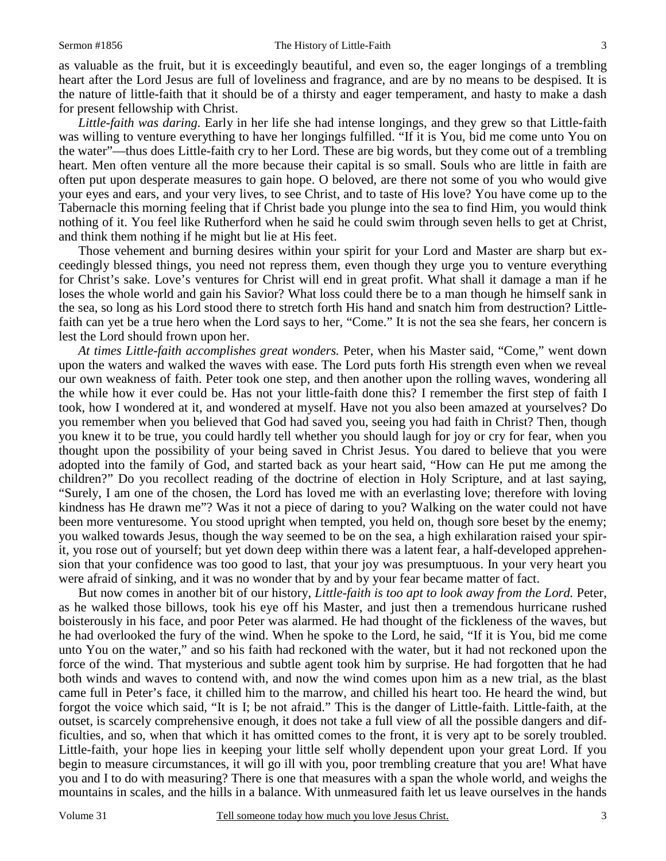as valuable as the fruit, but it is exceedingly beautiful, and even so, the eager longings of a trembling heart after the Lord Jesus are full of loveliness and fragrance, and are by no means to be despised. It is the nature of little-faith that it should be of a thirsty and eager temperament, and hasty to make a dash for present fellowship with Christ.

*Little-faith was daring.* Early in her life she had intense longings, and they grew so that Little-faith was willing to venture everything to have her longings fulfilled. "If it is You, bid me come unto You on the water"—thus does Little-faith cry to her Lord. These are big words, but they come out of a trembling heart. Men often venture all the more because their capital is so small. Souls who are little in faith are often put upon desperate measures to gain hope. O beloved, are there not some of you who would give your eyes and ears, and your very lives, to see Christ, and to taste of His love? You have come up to the Tabernacle this morning feeling that if Christ bade you plunge into the sea to find Him, you would think nothing of it. You feel like Rutherford when he said he could swim through seven hells to get at Christ, and think them nothing if he might but lie at His feet.

 Those vehement and burning desires within your spirit for your Lord and Master are sharp but exceedingly blessed things, you need not repress them, even though they urge you to venture everything for Christ's sake. Love's ventures for Christ will end in great profit. What shall it damage a man if he loses the whole world and gain his Savior? What loss could there be to a man though he himself sank in the sea, so long as his Lord stood there to stretch forth His hand and snatch him from destruction? Littlefaith can yet be a true hero when the Lord says to her, "Come." It is not the sea she fears, her concern is lest the Lord should frown upon her.

*At times Little-faith accomplishes great wonders.* Peter, when his Master said, "Come," went down upon the waters and walked the waves with ease. The Lord puts forth His strength even when we reveal our own weakness of faith. Peter took one step, and then another upon the rolling waves, wondering all the while how it ever could be. Has not your little-faith done this? I remember the first step of faith I took, how I wondered at it, and wondered at myself. Have not you also been amazed at yourselves? Do you remember when you believed that God had saved you, seeing you had faith in Christ? Then, though you knew it to be true, you could hardly tell whether you should laugh for joy or cry for fear, when you thought upon the possibility of your being saved in Christ Jesus. You dared to believe that you were adopted into the family of God, and started back as your heart said, "How can He put me among the children?" Do you recollect reading of the doctrine of election in Holy Scripture, and at last saying, "Surely, I am one of the chosen, the Lord has loved me with an everlasting love; therefore with loving kindness has He drawn me"? Was it not a piece of daring to you? Walking on the water could not have been more venturesome. You stood upright when tempted, you held on, though sore beset by the enemy; you walked towards Jesus, though the way seemed to be on the sea, a high exhilaration raised your spirit, you rose out of yourself; but yet down deep within there was a latent fear, a half-developed apprehension that your confidence was too good to last, that your joy was presumptuous. In your very heart you were afraid of sinking, and it was no wonder that by and by your fear became matter of fact.

 But now comes in another bit of our history, *Little-faith is too apt to look away from the Lord.* Peter, as he walked those billows, took his eye off his Master, and just then a tremendous hurricane rushed boisterously in his face, and poor Peter was alarmed. He had thought of the fickleness of the waves, but he had overlooked the fury of the wind. When he spoke to the Lord, he said, "If it is You, bid me come unto You on the water," and so his faith had reckoned with the water, but it had not reckoned upon the force of the wind. That mysterious and subtle agent took him by surprise. He had forgotten that he had both winds and waves to contend with, and now the wind comes upon him as a new trial, as the blast came full in Peter's face, it chilled him to the marrow, and chilled his heart too. He heard the wind, but forgot the voice which said, "It is I; be not afraid." This is the danger of Little-faith. Little-faith, at the outset, is scarcely comprehensive enough, it does not take a full view of all the possible dangers and difficulties, and so, when that which it has omitted comes to the front, it is very apt to be sorely troubled. Little-faith, your hope lies in keeping your little self wholly dependent upon your great Lord. If you begin to measure circumstances, it will go ill with you, poor trembling creature that you are! What have you and I to do with measuring? There is one that measures with a span the whole world, and weighs the mountains in scales, and the hills in a balance. With unmeasured faith let us leave ourselves in the hands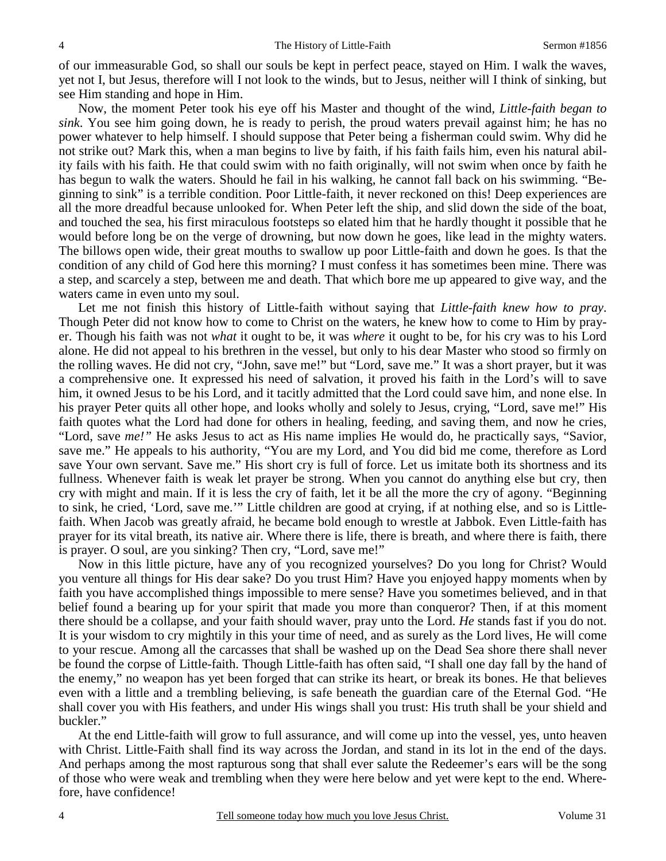of our immeasurable God, so shall our souls be kept in perfect peace, stayed on Him. I walk the waves, yet not I, but Jesus, therefore will I not look to the winds, but to Jesus, neither will I think of sinking, but see Him standing and hope in Him.

 Now, the moment Peter took his eye off his Master and thought of the wind, *Little-faith began to sink*. You see him going down, he is ready to perish, the proud waters prevail against him; he has no power whatever to help himself. I should suppose that Peter being a fisherman could swim. Why did he not strike out? Mark this, when a man begins to live by faith, if his faith fails him, even his natural ability fails with his faith. He that could swim with no faith originally, will not swim when once by faith he has begun to walk the waters. Should he fail in his walking, he cannot fall back on his swimming. "Beginning to sink" is a terrible condition. Poor Little-faith, it never reckoned on this! Deep experiences are all the more dreadful because unlooked for. When Peter left the ship, and slid down the side of the boat, and touched the sea, his first miraculous footsteps so elated him that he hardly thought it possible that he would before long be on the verge of drowning, but now down he goes, like lead in the mighty waters. The billows open wide, their great mouths to swallow up poor Little-faith and down he goes. Is that the condition of any child of God here this morning? I must confess it has sometimes been mine. There was a step, and scarcely a step, between me and death. That which bore me up appeared to give way, and the waters came in even unto my soul.

 Let me not finish this history of Little-faith without saying that *Little-faith knew how to pray*. Though Peter did not know how to come to Christ on the waters, he knew how to come to Him by prayer. Though his faith was not *what* it ought to be, it was *where* it ought to be, for his cry was to his Lord alone. He did not appeal to his brethren in the vessel, but only to his dear Master who stood so firmly on the rolling waves. He did not cry, "John, save me!" but "Lord, save me." It was a short prayer, but it was a comprehensive one. It expressed his need of salvation, it proved his faith in the Lord's will to save him, it owned Jesus to be his Lord, and it tacitly admitted that the Lord could save him, and none else. In his prayer Peter quits all other hope, and looks wholly and solely to Jesus, crying, "Lord, save me!" His faith quotes what the Lord had done for others in healing, feeding, and saving them, and now he cries, "Lord, save *me!"* He asks Jesus to act as His name implies He would do, he practically says, "Savior, save me." He appeals to his authority, "You are my Lord, and You did bid me come, therefore as Lord save Your own servant. Save me." His short cry is full of force. Let us imitate both its shortness and its fullness. Whenever faith is weak let prayer be strong. When you cannot do anything else but cry, then cry with might and main. If it is less the cry of faith, let it be all the more the cry of agony. "Beginning to sink, he cried, 'Lord, save me.'" Little children are good at crying, if at nothing else, and so is Littlefaith. When Jacob was greatly afraid, he became bold enough to wrestle at Jabbok. Even Little-faith has prayer for its vital breath, its native air. Where there is life, there is breath, and where there is faith, there is prayer. O soul, are you sinking? Then cry, "Lord, save me!"

 Now in this little picture, have any of you recognized yourselves? Do you long for Christ? Would you venture all things for His dear sake? Do you trust Him? Have you enjoyed happy moments when by faith you have accomplished things impossible to mere sense? Have you sometimes believed, and in that belief found a bearing up for your spirit that made you more than conqueror? Then, if at this moment there should be a collapse, and your faith should waver, pray unto the Lord. *He* stands fast if you do not. It is your wisdom to cry mightily in this your time of need, and as surely as the Lord lives, He will come to your rescue. Among all the carcasses that shall be washed up on the Dead Sea shore there shall never be found the corpse of Little-faith. Though Little-faith has often said, "I shall one day fall by the hand of the enemy," no weapon has yet been forged that can strike its heart, or break its bones. He that believes even with a little and a trembling believing, is safe beneath the guardian care of the Eternal God. "He shall cover you with His feathers, and under His wings shall you trust: His truth shall be your shield and buckler."

 At the end Little-faith will grow to full assurance, and will come up into the vessel, yes, unto heaven with Christ. Little-Faith shall find its way across the Jordan, and stand in its lot in the end of the days. And perhaps among the most rapturous song that shall ever salute the Redeemer's ears will be the song of those who were weak and trembling when they were here below and yet were kept to the end. Wherefore, have confidence!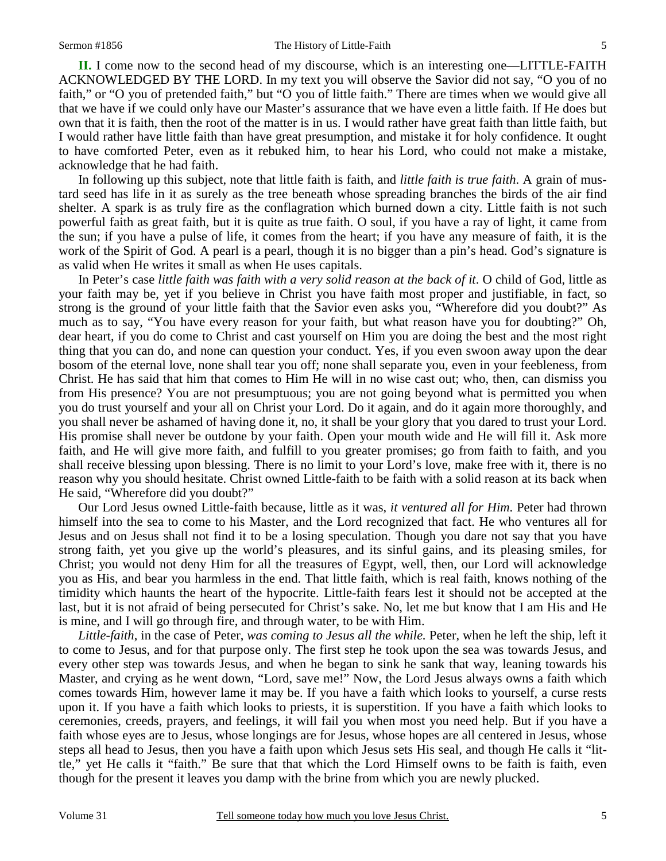**II.** I come now to the second head of my discourse, which is an interesting one—LITTLE-FAITH ACKNOWLEDGED BY THE LORD. In my text you will observe the Savior did not say, "O you of no faith," or "O you of pretended faith," but "O you of little faith." There are times when we would give all that we have if we could only have our Master's assurance that we have even a little faith. If He does but own that it is faith, then the root of the matter is in us. I would rather have great faith than little faith, but I would rather have little faith than have great presumption, and mistake it for holy confidence. It ought to have comforted Peter, even as it rebuked him, to hear his Lord, who could not make a mistake, acknowledge that he had faith.

 In following up this subject, note that little faith is faith, and *little faith is true faith*. A grain of mustard seed has life in it as surely as the tree beneath whose spreading branches the birds of the air find shelter. A spark is as truly fire as the conflagration which burned down a city. Little faith is not such powerful faith as great faith, but it is quite as true faith. O soul, if you have a ray of light, it came from the sun; if you have a pulse of life, it comes from the heart; if you have any measure of faith, it is the work of the Spirit of God. A pearl is a pearl, though it is no bigger than a pin's head. God's signature is as valid when He writes it small as when He uses capitals.

 In Peter's case *little faith was faith with a very solid reason at the back of it*. O child of God, little as your faith may be, yet if you believe in Christ you have faith most proper and justifiable, in fact, so strong is the ground of your little faith that the Savior even asks you, "Wherefore did you doubt?" As much as to say, "You have every reason for your faith, but what reason have you for doubting?" Oh, dear heart, if you do come to Christ and cast yourself on Him you are doing the best and the most right thing that you can do, and none can question your conduct. Yes, if you even swoon away upon the dear bosom of the eternal love, none shall tear you off; none shall separate you, even in your feebleness, from Christ. He has said that him that comes to Him He will in no wise cast out; who, then, can dismiss you from His presence? You are not presumptuous; you are not going beyond what is permitted you when you do trust yourself and your all on Christ your Lord. Do it again, and do it again more thoroughly, and you shall never be ashamed of having done it, no, it shall be your glory that you dared to trust your Lord. His promise shall never be outdone by your faith. Open your mouth wide and He will fill it. Ask more faith, and He will give more faith, and fulfill to you greater promises; go from faith to faith, and you shall receive blessing upon blessing. There is no limit to your Lord's love, make free with it, there is no reason why you should hesitate. Christ owned Little-faith to be faith with a solid reason at its back when He said, "Wherefore did you doubt?"

 Our Lord Jesus owned Little-faith because, little as it was, *it ventured all for Him*. Peter had thrown himself into the sea to come to his Master, and the Lord recognized that fact. He who ventures all for Jesus and on Jesus shall not find it to be a losing speculation. Though you dare not say that you have strong faith, yet you give up the world's pleasures, and its sinful gains, and its pleasing smiles, for Christ; you would not deny Him for all the treasures of Egypt, well, then, our Lord will acknowledge you as His, and bear you harmless in the end. That little faith, which is real faith, knows nothing of the timidity which haunts the heart of the hypocrite. Little-faith fears lest it should not be accepted at the last, but it is not afraid of being persecuted for Christ's sake. No, let me but know that I am His and He is mine, and I will go through fire, and through water, to be with Him.

*Little-faith*, in the case of Peter, *was coming to Jesus all the while.* Peter, when he left the ship, left it to come to Jesus, and for that purpose only. The first step he took upon the sea was towards Jesus, and every other step was towards Jesus, and when he began to sink he sank that way, leaning towards his Master, and crying as he went down, "Lord, save me!" Now, the Lord Jesus always owns a faith which comes towards Him, however lame it may be. If you have a faith which looks to yourself, a curse rests upon it. If you have a faith which looks to priests, it is superstition. If you have a faith which looks to ceremonies, creeds, prayers, and feelings, it will fail you when most you need help. But if you have a faith whose eyes are to Jesus, whose longings are for Jesus, whose hopes are all centered in Jesus, whose steps all head to Jesus, then you have a faith upon which Jesus sets His seal, and though He calls it "little," yet He calls it "faith." Be sure that that which the Lord Himself owns to be faith is faith, even though for the present it leaves you damp with the brine from which you are newly plucked.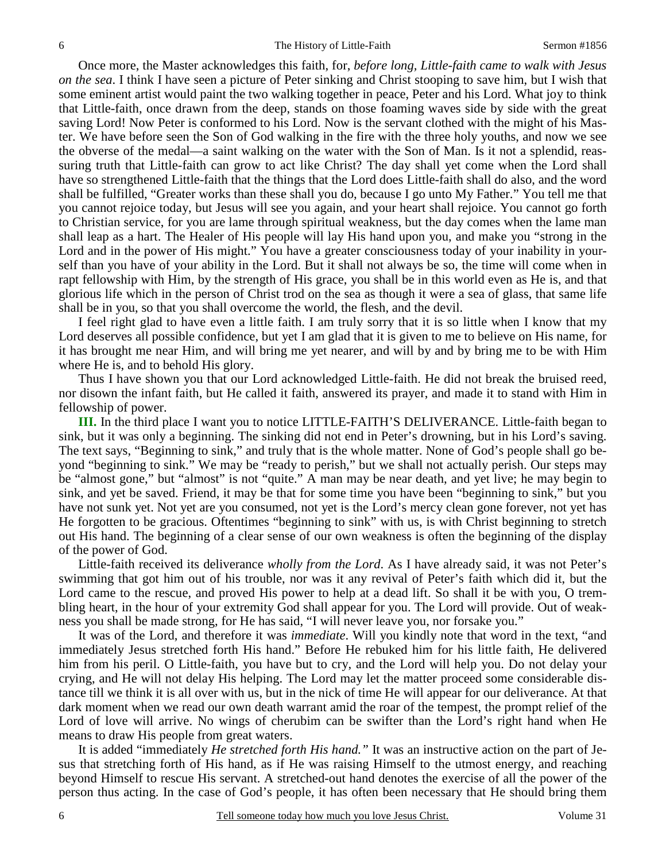Once more, the Master acknowledges this faith, for, *before long, Little-faith came to walk with Jesus on the sea*. I think I have seen a picture of Peter sinking and Christ stooping to save him, but I wish that some eminent artist would paint the two walking together in peace, Peter and his Lord. What joy to think that Little-faith, once drawn from the deep, stands on those foaming waves side by side with the great saving Lord! Now Peter is conformed to his Lord. Now is the servant clothed with the might of his Master. We have before seen the Son of God walking in the fire with the three holy youths, and now we see the obverse of the medal—a saint walking on the water with the Son of Man. Is it not a splendid, reassuring truth that Little-faith can grow to act like Christ? The day shall yet come when the Lord shall have so strengthened Little-faith that the things that the Lord does Little-faith shall do also, and the word shall be fulfilled, "Greater works than these shall you do, because I go unto My Father." You tell me that you cannot rejoice today, but Jesus will see you again, and your heart shall rejoice. You cannot go forth to Christian service, for you are lame through spiritual weakness, but the day comes when the lame man shall leap as a hart. The Healer of His people will lay His hand upon you, and make you "strong in the Lord and in the power of His might." You have a greater consciousness today of your inability in yourself than you have of your ability in the Lord. But it shall not always be so, the time will come when in rapt fellowship with Him, by the strength of His grace, you shall be in this world even as He is, and that glorious life which in the person of Christ trod on the sea as though it were a sea of glass, that same life shall be in you, so that you shall overcome the world, the flesh, and the devil.

 I feel right glad to have even a little faith. I am truly sorry that it is so little when I know that my Lord deserves all possible confidence, but yet I am glad that it is given to me to believe on His name, for it has brought me near Him, and will bring me yet nearer, and will by and by bring me to be with Him where He is, and to behold His glory.

 Thus I have shown you that our Lord acknowledged Little-faith. He did not break the bruised reed, nor disown the infant faith, but He called it faith, answered its prayer, and made it to stand with Him in fellowship of power.

**III.** In the third place I want you to notice LITTLE-FAITH'S DELIVERANCE. Little-faith began to sink, but it was only a beginning. The sinking did not end in Peter's drowning, but in his Lord's saving. The text says, "Beginning to sink," and truly that is the whole matter. None of God's people shall go beyond "beginning to sink." We may be "ready to perish," but we shall not actually perish. Our steps may be "almost gone," but "almost" is not "quite." A man may be near death, and yet live; he may begin to sink, and yet be saved. Friend, it may be that for some time you have been "beginning to sink," but you have not sunk yet. Not yet are you consumed, not yet is the Lord's mercy clean gone forever, not yet has He forgotten to be gracious. Oftentimes "beginning to sink" with us, is with Christ beginning to stretch out His hand. The beginning of a clear sense of our own weakness is often the beginning of the display of the power of God.

 Little-faith received its deliverance *wholly from the Lord*. As I have already said, it was not Peter's swimming that got him out of his trouble, nor was it any revival of Peter's faith which did it, but the Lord came to the rescue, and proved His power to help at a dead lift. So shall it be with you, O trembling heart, in the hour of your extremity God shall appear for you. The Lord will provide. Out of weakness you shall be made strong, for He has said, "I will never leave you, nor forsake you."

 It was of the Lord, and therefore it was *immediate*. Will you kindly note that word in the text, "and immediately Jesus stretched forth His hand." Before He rebuked him for his little faith, He delivered him from his peril. O Little-faith, you have but to cry, and the Lord will help you. Do not delay your crying, and He will not delay His helping. The Lord may let the matter proceed some considerable distance till we think it is all over with us, but in the nick of time He will appear for our deliverance. At that dark moment when we read our own death warrant amid the roar of the tempest, the prompt relief of the Lord of love will arrive. No wings of cherubim can be swifter than the Lord's right hand when He means to draw His people from great waters.

 It is added "immediately *He stretched forth His hand."* It was an instructive action on the part of Jesus that stretching forth of His hand, as if He was raising Himself to the utmost energy, and reaching beyond Himself to rescue His servant. A stretched-out hand denotes the exercise of all the power of the person thus acting. In the case of God's people, it has often been necessary that He should bring them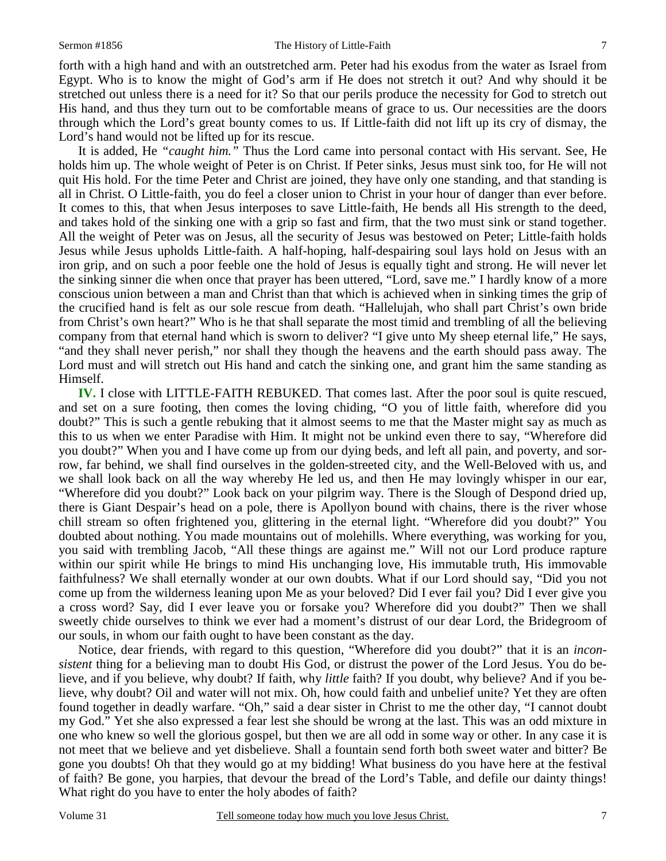forth with a high hand and with an outstretched arm. Peter had his exodus from the water as Israel from Egypt. Who is to know the might of God's arm if He does not stretch it out? And why should it be stretched out unless there is a need for it? So that our perils produce the necessity for God to stretch out His hand, and thus they turn out to be comfortable means of grace to us. Our necessities are the doors through which the Lord's great bounty comes to us. If Little-faith did not lift up its cry of dismay, the Lord's hand would not be lifted up for its rescue.

 It is added, He *"caught him."* Thus the Lord came into personal contact with His servant. See, He holds him up. The whole weight of Peter is on Christ. If Peter sinks, Jesus must sink too, for He will not quit His hold. For the time Peter and Christ are joined, they have only one standing, and that standing is all in Christ. O Little-faith, you do feel a closer union to Christ in your hour of danger than ever before. It comes to this, that when Jesus interposes to save Little-faith, He bends all His strength to the deed, and takes hold of the sinking one with a grip so fast and firm, that the two must sink or stand together. All the weight of Peter was on Jesus, all the security of Jesus was bestowed on Peter; Little-faith holds Jesus while Jesus upholds Little-faith. A half-hoping, half-despairing soul lays hold on Jesus with an iron grip, and on such a poor feeble one the hold of Jesus is equally tight and strong. He will never let the sinking sinner die when once that prayer has been uttered, "Lord, save me." I hardly know of a more conscious union between a man and Christ than that which is achieved when in sinking times the grip of the crucified hand is felt as our sole rescue from death. "Hallelujah, who shall part Christ's own bride from Christ's own heart?" Who is he that shall separate the most timid and trembling of all the believing company from that eternal hand which is sworn to deliver? "I give unto My sheep eternal life," He says, "and they shall never perish," nor shall they though the heavens and the earth should pass away. The Lord must and will stretch out His hand and catch the sinking one, and grant him the same standing as Himself.

**IV.** I close with LITTLE-FAITH REBUKED. That comes last. After the poor soul is quite rescued, and set on a sure footing, then comes the loving chiding, "O you of little faith, wherefore did you doubt?" This is such a gentle rebuking that it almost seems to me that the Master might say as much as this to us when we enter Paradise with Him. It might not be unkind even there to say, "Wherefore did you doubt?" When you and I have come up from our dying beds, and left all pain, and poverty, and sorrow, far behind, we shall find ourselves in the golden-streeted city, and the Well-Beloved with us, and we shall look back on all the way whereby He led us, and then He may lovingly whisper in our ear, "Wherefore did you doubt?" Look back on your pilgrim way. There is the Slough of Despond dried up, there is Giant Despair's head on a pole, there is Apollyon bound with chains, there is the river whose chill stream so often frightened you, glittering in the eternal light. "Wherefore did you doubt?" You doubted about nothing. You made mountains out of molehills. Where everything, was working for you, you said with trembling Jacob, "All these things are against me." Will not our Lord produce rapture within our spirit while He brings to mind His unchanging love, His immutable truth, His immovable faithfulness? We shall eternally wonder at our own doubts. What if our Lord should say, "Did you not come up from the wilderness leaning upon Me as your beloved? Did I ever fail you? Did I ever give you a cross word? Say, did I ever leave you or forsake you? Wherefore did you doubt?" Then we shall sweetly chide ourselves to think we ever had a moment's distrust of our dear Lord, the Bridegroom of our souls, in whom our faith ought to have been constant as the day.

 Notice, dear friends, with regard to this question, "Wherefore did you doubt?" that it is an *inconsistent* thing for a believing man to doubt His God, or distrust the power of the Lord Jesus. You do believe, and if you believe, why doubt? If faith, why *little* faith? If you doubt, why believe? And if you believe, why doubt? Oil and water will not mix. Oh, how could faith and unbelief unite? Yet they are often found together in deadly warfare. "Oh," said a dear sister in Christ to me the other day, "I cannot doubt my God." Yet she also expressed a fear lest she should be wrong at the last. This was an odd mixture in one who knew so well the glorious gospel, but then we are all odd in some way or other. In any case it is not meet that we believe and yet disbelieve. Shall a fountain send forth both sweet water and bitter? Be gone you doubts! Oh that they would go at my bidding! What business do you have here at the festival of faith? Be gone, you harpies, that devour the bread of the Lord's Table, and defile our dainty things! What right do you have to enter the holy abodes of faith?